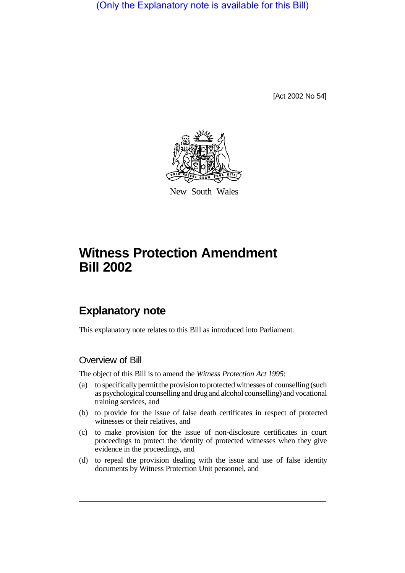(Only the Explanatory note is available for this Bill)

[Act 2002 No 54]



New South Wales

## **Witness Protection Amendment Bill 2002**

## **Explanatory note**

This explanatory note relates to this Bill as introduced into Parliament.

## Overview of Bill

The object of this Bill is to amend the *Witness Protection Act 1995*:

- (a) to specifically permit the provision to protected witnesses of counselling (such as psychological counsellingand drugand alcohol counselling) and vocational training services, and
- (b) to provide for the issue of false death certificates in respect of protected witnesses or their relatives, and
- (c) to make provision for the issue of non-disclosure certificates in court proceedings to protect the identity of protected witnesses when they give evidence in the proceedings, and
- (d) to repeal the provision dealing with the issue and use of false identity documents by Witness Protection Unit personnel, and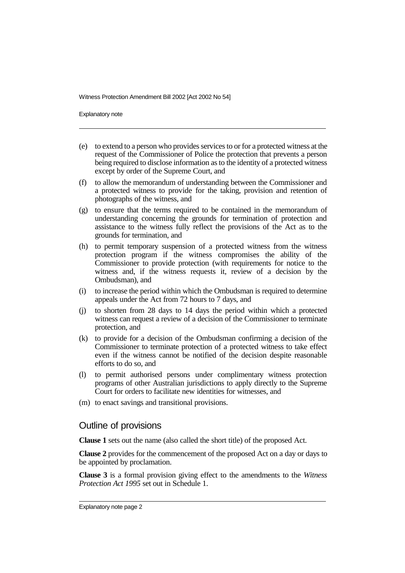Witness Protection Amendment Bill 2002 [Act 2002 No 54]

Explanatory note

- (e) to extend to a person who provides services to or for a protected witness at the request of the Commissioner of Police the protection that prevents a person being required to disclose information as to the identity of a protected witness except by order of the Supreme Court, and
- (f) to allow the memorandum of understanding between the Commissioner and a protected witness to provide for the taking, provision and retention of photographs of the witness, and
- (g) to ensure that the terms required to be contained in the memorandum of understanding concerning the grounds for termination of protection and assistance to the witness fully reflect the provisions of the Act as to the grounds for termination, and
- (h) to permit temporary suspension of a protected witness from the witness protection program if the witness compromises the ability of the Commissioner to provide protection (with requirements for notice to the witness and, if the witness requests it, review of a decision by the Ombudsman), and
- (i) to increase the period within which the Ombudsman is required to determine appeals under the Act from 72 hours to 7 days, and
- (j) to shorten from 28 days to 14 days the period within which a protected witness can request a review of a decision of the Commissioner to terminate protection, and
- (k) to provide for a decision of the Ombudsman confirming a decision of the Commissioner to terminate protection of a protected witness to take effect even if the witness cannot be notified of the decision despite reasonable efforts to do so, and
- (l) to permit authorised persons under complimentary witness protection programs of other Australian jurisdictions to apply directly to the Supreme Court for orders to facilitate new identities for witnesses, and
- (m) to enact savings and transitional provisions.

## Outline of provisions

**Clause 1** sets out the name (also called the short title) of the proposed Act.

**Clause 2** provides for the commencement of the proposed Act on a day or days to be appointed by proclamation.

**Clause 3** is a formal provision giving effect to the amendments to the *Witness Protection Act 1995* set out in Schedule 1.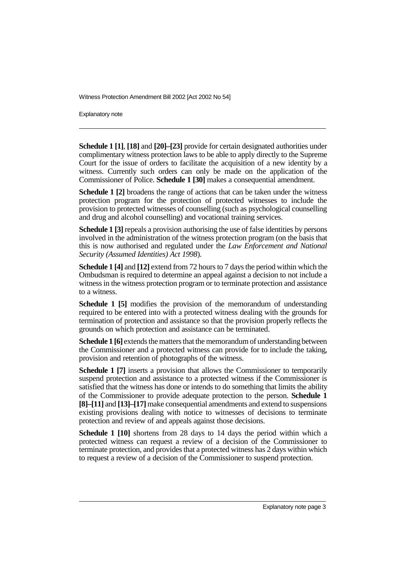Witness Protection Amendment Bill 2002 [Act 2002 No 54]

Explanatory note

**Schedule 1 [1]**, **[18]** and **[20]–[23]** provide for certain designated authorities under complimentary witness protection laws to be able to apply directly to the Supreme Court for the issue of orders to facilitate the acquisition of a new identity by a witness. Currently such orders can only be made on the application of the Commissioner of Police. **Schedule 1 [30]** makes a consequential amendment.

**Schedule 1 [2]** broadens the range of actions that can be taken under the witness protection program for the protection of protected witnesses to include the provision to protected witnesses of counselling (such as psychological counselling and drug and alcohol counselling) and vocational training services.

**Schedule 1 [3]** repeals a provision authorising the use of false identities by persons involved in the administration of the witness protection program (on the basis that this is now authorised and regulated under the *Law Enforcement and National Security (Assumed Identities) Act 1998*).

**Schedule 1 [4]** and **[12]** extend from 72 hours to 7 days the period within which the Ombudsman is required to determine an appeal against a decision to not include a witness in the witness protection program or to terminate protection and assistance to a witness.

**Schedule 1 [5]** modifies the provision of the memorandum of understanding required to be entered into with a protected witness dealing with the grounds for termination of protection and assistance so that the provision properly reflects the grounds on which protection and assistance can be terminated.

**Schedule 1 [6]** extends the matters that the memorandum of understanding between the Commissioner and a protected witness can provide for to include the taking, provision and retention of photographs of the witness.

**Schedule 1 [7]** inserts a provision that allows the Commissioner to temporarily suspend protection and assistance to a protected witness if the Commissioner is satisfied that the witness has done or intends to do something that limits the ability of the Commissioner to provide adequate protection to the person. **Schedule 1 [8]–[11]** and **[13]–[17]** make consequential amendments and extend to suspensions existing provisions dealing with notice to witnesses of decisions to terminate protection and review of and appeals against those decisions.

**Schedule 1 [10]** shortens from 28 days to 14 days the period within which a protected witness can request a review of a decision of the Commissioner to terminate protection, and provides that a protected witness has 2 days within which to request a review of a decision of the Commissioner to suspend protection.